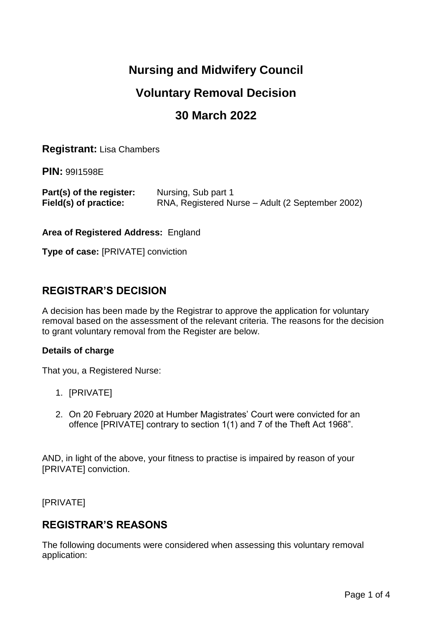# **Nursing and Midwifery Council**

# **Voluntary Removal Decision**

# **30 March 2022**

**Registrant:** Lisa Chambers

**PIN:** 99I1598E

| Part(s) of the register: | Nursing, Sub part 1                              |
|--------------------------|--------------------------------------------------|
| Field(s) of practice:    | RNA, Registered Nurse – Adult (2 September 2002) |

**Area of Registered Address:** England

**Type of case:** [PRIVATE] conviction

## **REGISTRAR'S DECISION**

A decision has been made by the Registrar to approve the application for voluntary removal based on the assessment of the relevant criteria. The reasons for the decision to grant voluntary removal from the Register are below.

### **Details of charge**

That you, a Registered Nurse:

- 1. [PRIVATE]
- 2. On 20 February 2020 at Humber Magistrates' Court were convicted for an offence [PRIVATE] contrary to section 1(1) and 7 of the Theft Act 1968".

AND, in light of the above, your fitness to practise is impaired by reason of your [PRIVATE] conviction.

[PRIVATE]

## **REGISTRAR'S REASONS**

The following documents were considered when assessing this voluntary removal application: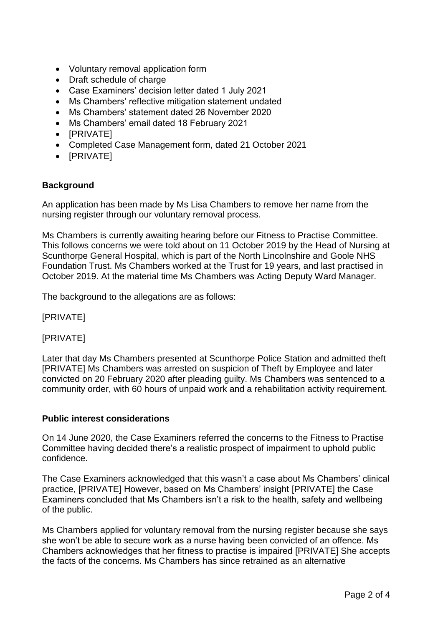- Voluntary removal application form
- Draft schedule of charge
- Case Examiners' decision letter dated 1 July 2021
- Ms Chambers' reflective mitigation statement undated
- Ms Chambers' statement dated 26 November 2020
- Ms Chambers' email dated 18 February 2021
- [PRIVATE]
- Completed Case Management form, dated 21 October 2021
- [PRIVATE]

### **Background**

An application has been made by Ms Lisa Chambers to remove her name from the nursing register through our voluntary removal process.

Ms Chambers is currently awaiting hearing before our Fitness to Practise Committee. This follows concerns we were told about on 11 October 2019 by the Head of Nursing at Scunthorpe General Hospital, which is part of the North Lincolnshire and Goole NHS Foundation Trust. Ms Chambers worked at the Trust for 19 years, and last practised in October 2019. At the material time Ms Chambers was Acting Deputy Ward Manager.

The background to the allegations are as follows:

[PRIVATE]

[PRIVATE]

Later that day Ms Chambers presented at Scunthorpe Police Station and admitted theft [PRIVATE] Ms Chambers was arrested on suspicion of Theft by Employee and later convicted on 20 February 2020 after pleading guilty. Ms Chambers was sentenced to a community order, with 60 hours of unpaid work and a rehabilitation activity requirement.

### **Public interest considerations**

On 14 June 2020, the Case Examiners referred the concerns to the Fitness to Practise Committee having decided there's a realistic prospect of impairment to uphold public confidence.

The Case Examiners acknowledged that this wasn't a case about Ms Chambers' clinical practice, [PRIVATE] However, based on Ms Chambers' insight [PRIVATE] the Case Examiners concluded that Ms Chambers isn't a risk to the health, safety and wellbeing of the public.

Ms Chambers applied for voluntary removal from the nursing register because she says she won't be able to secure work as a nurse having been convicted of an offence. Ms Chambers acknowledges that her fitness to practise is impaired [PRIVATE] She accepts the facts of the concerns. Ms Chambers has since retrained as an alternative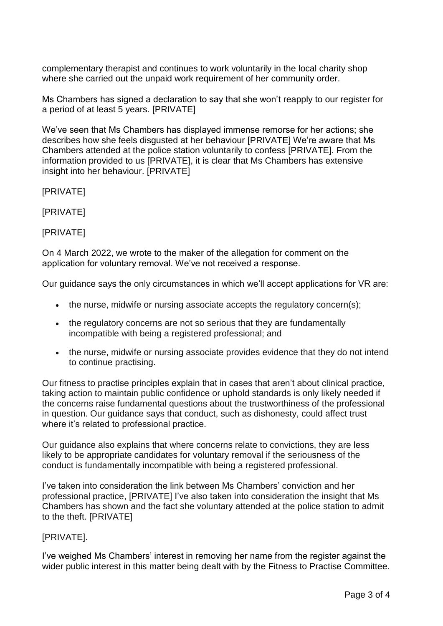complementary therapist and continues to work voluntarily in the local charity shop where she carried out the unpaid work requirement of her community order.

Ms Chambers has signed a declaration to say that she won't reapply to our register for a period of at least 5 years. [PRIVATE]

We've seen that Ms Chambers has displayed immense remorse for her actions; she describes how she feels disgusted at her behaviour [PRIVATE] We're aware that Ms Chambers attended at the police station voluntarily to confess [PRIVATE]. From the information provided to us [PRIVATE], it is clear that Ms Chambers has extensive insight into her behaviour. [PRIVATE]

[PRIVATE]

[PRIVATE]

[PRIVATE]

On 4 March 2022, we wrote to the maker of the allegation for comment on the application for voluntary removal. We've not received a response.

Our guidance says the only circumstances in which we'll accept applications for VR are:

- the nurse, midwife or nursing associate accepts the regulatory concern(s);
- the regulatory concerns are not so serious that they are fundamentally incompatible with being a registered professional; and
- the nurse, midwife or nursing associate provides evidence that they do not intend to continue practising.

Our fitness to practise principles explain that in cases that aren't about clinical practice, taking action to maintain public confidence or uphold standards is only likely needed if the concerns raise fundamental questions about the trustworthiness of the professional in question. Our guidance says that conduct, such as dishonesty, could affect trust where it's related to professional practice.

Our guidance also explains that where concerns relate to convictions, they are less likely to be appropriate candidates for voluntary removal if the seriousness of the conduct is fundamentally incompatible with being a registered professional.

I've taken into consideration the link between Ms Chambers' conviction and her professional practice, [PRIVATE] I've also taken into consideration the insight that Ms Chambers has shown and the fact she voluntary attended at the police station to admit to the theft. [PRIVATE]

### [PRIVATE].

I've weighed Ms Chambers' interest in removing her name from the register against the wider public interest in this matter being dealt with by the Fitness to Practise Committee.